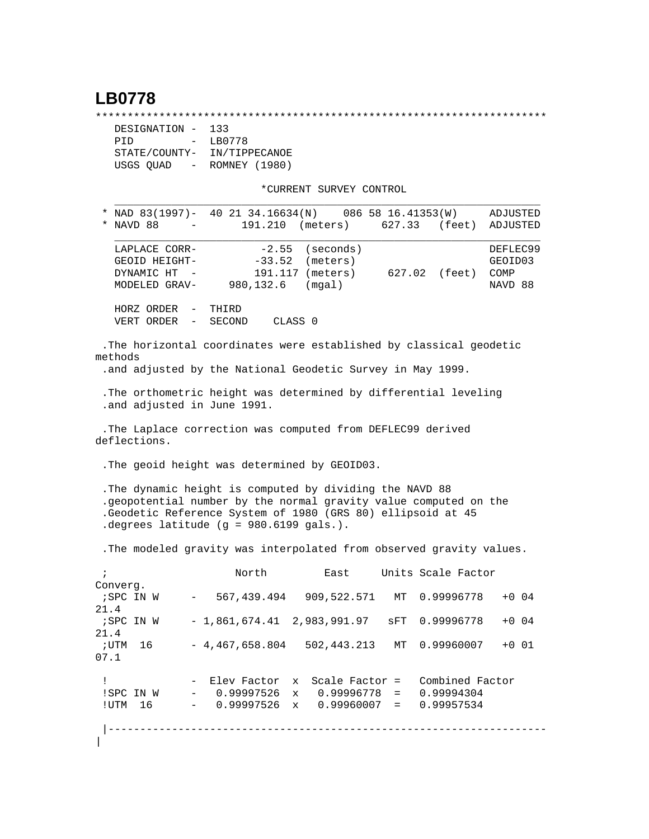## **LB0778**

\*\*\*\*\*\*\*\*\*\*\*\*\*\*\*\*\*\*\*\*\*\*\*\*\*\*\*\*\*\*\*\*\*\*\*\*\*\*\*\*\*\*\*\*\*\*\*\*\*\*\*\*\*\*\*\*\*\*\*\*\*\*\*\*\*\*\*\*\*\*\*

| DESIGNATION -        | 133           |
|----------------------|---------------|
| PTD<br>$\sim$ $\sim$ | LB0778        |
| STATE/COUNTY-        | IN/TIPPECANOE |
| USGS QUAD            | ROMNEY (1980) |

\*CURRENT SURVEY CONTROL

| * NAD 83(1997)- 40 21 34.16634(N) 086 58 16.41353(W)<br>* NAVD 88                     |                                                      |                                                 | 191.210                          | (meters)                                                                                                                                                                                    | 627.33 | (feet)                                      | ADJUSTED<br>ADJUSTED                   |
|---------------------------------------------------------------------------------------|------------------------------------------------------|-------------------------------------------------|----------------------------------|---------------------------------------------------------------------------------------------------------------------------------------------------------------------------------------------|--------|---------------------------------------------|----------------------------------------|
| LAPLACE CORR-<br>GEOID HEIGHT-<br>DYNAMIC HT<br>MODELED GRAV-                         |                                                      |                                                 | $-2.55$<br>$-33.52$<br>980,132.6 | (seconds)<br>(meters)<br>191.117 (meters)<br>(mqal)                                                                                                                                         | 627.02 | (feet)                                      | DEFLEC99<br>GEOID03<br>COMP<br>NAVD 88 |
| HORZ ORDER<br>VERT ORDER                                                              | $\overline{\phantom{a}}$<br>$\overline{\phantom{m}}$ | THIRD<br>SECOND                                 |                                  | CLASS <sub>0</sub>                                                                                                                                                                          |        |                                             |                                        |
|                                                                                       |                                                      |                                                 |                                  | .The horizontal coordinates were established by classical geodetic                                                                                                                          |        |                                             |                                        |
| methods                                                                               |                                                      |                                                 |                                  | .and adjusted by the National Geodetic Survey in May 1999.                                                                                                                                  |        |                                             |                                        |
| .and adjusted in June 1991.                                                           |                                                      |                                                 |                                  | . The orthometric height was determined by differential leveling                                                                                                                            |        |                                             |                                        |
| deflections.                                                                          |                                                      |                                                 |                                  | .The Laplace correction was computed from DEFLEC99 derived                                                                                                                                  |        |                                             |                                        |
|                                                                                       |                                                      |                                                 |                                  |                                                                                                                                                                                             |        |                                             |                                        |
|                                                                                       |                                                      |                                                 |                                  | . The geoid height was determined by GEOID03.                                                                                                                                               |        |                                             |                                        |
| .degrees latitude (g = 980.6199 gals.).                                               |                                                      |                                                 |                                  | . The dynamic height is computed by dividing the NAVD 88<br>.geopotential number by the normal gravity value computed on the<br>.Geodetic Reference System of 1980 (GRS 80) ellipsoid at 45 |        |                                             |                                        |
|                                                                                       |                                                      |                                                 |                                  | . The modeled gravity was interpolated from observed gravity values.                                                                                                                        |        |                                             |                                        |
|                                                                                       |                                                      | North                                           |                                  | East                                                                                                                                                                                        |        | Units Scale Factor                          |                                        |
|                                                                                       | $ \,$                                                | 567,439.494                                     |                                  | 909,522.571                                                                                                                                                                                 | MT     | 0.99996778                                  | $+0.04$                                |
|                                                                                       |                                                      |                                                 |                                  | $-1,861,674.41$ 2,983,991.97                                                                                                                                                                | sFT    | 0.99996778                                  | $+0.04$                                |
| $\ddot{i}$<br>; SPC IN W<br>UTM 16;                                                   |                                                      | $-4,467,658.804$                                |                                  | 502,443.213                                                                                                                                                                                 | MT     | 0.99960007                                  |                                        |
| Converg.<br>21.4<br>;SPC IN W<br>21.4<br>07.1<br>$\mathbf{I}$<br>!SPC IN W<br>!UTM 16 |                                                      | - Elev Factor<br>$-0.99997526$<br>$-0.99997526$ |                                  | x Scale Factor =<br>x 0.99996778<br>$x = 0.99960007 =$                                                                                                                                      | $=$    | Combined Factor<br>0.99994304<br>0.99957534 | $+0$ 01                                |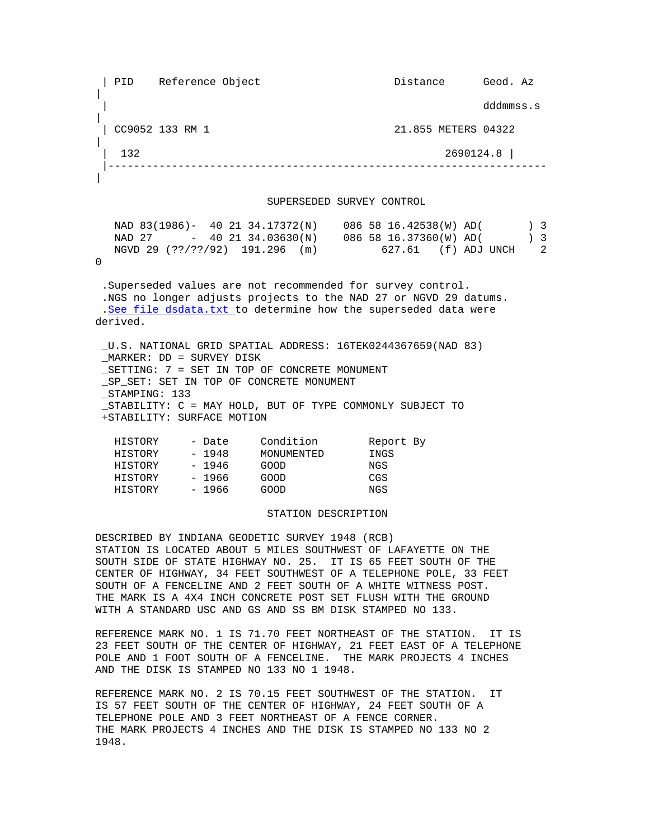| PID Reference Object Distance Geod. Az | dddmmss.s | | CC9052 133 RM 1 21.855 METERS 04322 |  $\begin{array}{|c|c|c|c|c|c|c|c|c|} \hline & 132 & 2690124.8 \hline \end{array}$  |--------------------------------------------------------------------- | SUPERSEDED SURVEY CONTROL NAD 83(1986)- 40 21 34.17372(N) 086 58 16.42538(W) AD( ) 3 NAD 27 - 40 21 34.03630(N) 086 58 16.37360(W) AD( ) 3 NGVD 29 (??/??/92) 191.296 (m) 627.61 (f) ADJ UNCH 2 0 .Superseded values are not recommended for survey control. .NGS no longer adjusts projects to the NAD 27 or NGVD 29 datums. . [See file dsdata.txt](http://www.ngs.noaa.gov/cgi-bin/ds_lookup.prl?Item=HOW_SUP_DET) to determine how the superseded data were derived. \_U.S. NATIONAL GRID SPATIAL ADDRESS: 16TEK0244367659(NAD 83) \_MARKER: DD = SURVEY DISK \_SETTING: 7 = SET IN TOP OF CONCRETE MONUMENT \_SP\_SET: SET IN TOP OF CONCRETE MONUMENT \_STAMPING: 133 STABILITY: C = MAY HOLD, BUT OF TYPE COMMONLY SUBJECT TO +STABILITY: SURFACE MOTION HISTORY - Date Condition Report By<br>HISTORY - 1948 MONUMENTED INGS HISTORY - 1948 MONUMENTED INGS HISTORY - 1946 GOOD NGS HISTORY - 1966 GOOD CGS HISTORY - 1966 GOOD NGS STATION DESCRIPTION

DESCRIBED BY INDIANA GEODETIC SURVEY 1948 (RCB) STATION IS LOCATED ABOUT 5 MILES SOUTHWEST OF LAFAYETTE ON THE SOUTH SIDE OF STATE HIGHWAY NO. 25. IT IS 65 FEET SOUTH OF THE CENTER OF HIGHWAY, 34 FEET SOUTHWEST OF A TELEPHONE POLE, 33 FEET SOUTH OF A FENCELINE AND 2 FEET SOUTH OF A WHITE WITNESS POST. THE MARK IS A 4X4 INCH CONCRETE POST SET FLUSH WITH THE GROUND WITH A STANDARD USC AND GS AND SS BM DISK STAMPED NO 133.

REFERENCE MARK NO. 1 IS 71.70 FEET NORTHEAST OF THE STATION. IT IS 23 FEET SOUTH OF THE CENTER OF HIGHWAY, 21 FEET EAST OF A TELEPHONE POLE AND 1 FOOT SOUTH OF A FENCELINE. THE MARK PROJECTS 4 INCHES AND THE DISK IS STAMPED NO 133 NO 1 1948.

REFERENCE MARK NO. 2 IS 70.15 FEET SOUTHWEST OF THE STATION. IT IS 57 FEET SOUTH OF THE CENTER OF HIGHWAY, 24 FEET SOUTH OF A TELEPHONE POLE AND 3 FEET NORTHEAST OF A FENCE CORNER. THE MARK PROJECTS 4 INCHES AND THE DISK IS STAMPED NO 133 NO 2 1948.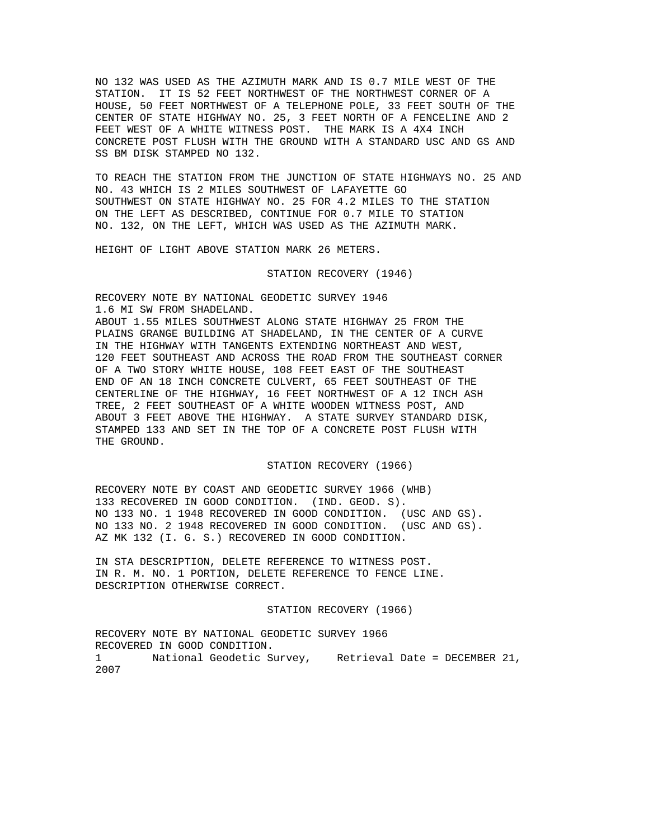NO 132 WAS USED AS THE AZIMUTH MARK AND IS 0.7 MILE WEST OF THE STATION. IT IS 52 FEET NORTHWEST OF THE NORTHWEST CORNER OF A HOUSE, 50 FEET NORTHWEST OF A TELEPHONE POLE, 33 FEET SOUTH OF THE CENTER OF STATE HIGHWAY NO. 25, 3 FEET NORTH OF A FENCELINE AND 2 FEET WEST OF A WHITE WITNESS POST. THE MARK IS A 4X4 INCH CONCRETE POST FLUSH WITH THE GROUND WITH A STANDARD USC AND GS AND SS BM DISK STAMPED NO 132.

TO REACH THE STATION FROM THE JUNCTION OF STATE HIGHWAYS NO. 25 AND NO. 43 WHICH IS 2 MILES SOUTHWEST OF LAFAYETTE GO SOUTHWEST ON STATE HIGHWAY NO. 25 FOR 4.2 MILES TO THE STATION ON THE LEFT AS DESCRIBED, CONTINUE FOR 0.7 MILE TO STATION NO. 132, ON THE LEFT, WHICH WAS USED AS THE AZIMUTH MARK.

HEIGHT OF LIGHT ABOVE STATION MARK 26 METERS.

STATION RECOVERY (1946)

RECOVERY NOTE BY NATIONAL GEODETIC SURVEY 1946 1.6 MI SW FROM SHADELAND.

ABOUT 1.55 MILES SOUTHWEST ALONG STATE HIGHWAY 25 FROM THE PLAINS GRANGE BUILDING AT SHADELAND, IN THE CENTER OF A CURVE IN THE HIGHWAY WITH TANGENTS EXTENDING NORTHEAST AND WEST, 120 FEET SOUTHEAST AND ACROSS THE ROAD FROM THE SOUTHEAST CORNER OF A TWO STORY WHITE HOUSE, 108 FEET EAST OF THE SOUTHEAST END OF AN 18 INCH CONCRETE CULVERT, 65 FEET SOUTHEAST OF THE CENTERLINE OF THE HIGHWAY, 16 FEET NORTHWEST OF A 12 INCH ASH TREE, 2 FEET SOUTHEAST OF A WHITE WOODEN WITNESS POST, AND ABOUT 3 FEET ABOVE THE HIGHWAY. A STATE SURVEY STANDARD DISK, STAMPED 133 AND SET IN THE TOP OF A CONCRETE POST FLUSH WITH THE GROUND.

STATION RECOVERY (1966)

RECOVERY NOTE BY COAST AND GEODETIC SURVEY 1966 (WHB) 133 RECOVERED IN GOOD CONDITION. (IND. GEOD. S). NO 133 NO. 1 1948 RECOVERED IN GOOD CONDITION. (USC AND GS). NO 133 NO. 2 1948 RECOVERED IN GOOD CONDITION. (USC AND GS). AZ MK 132 (I. G. S.) RECOVERED IN GOOD CONDITION.

IN STA DESCRIPTION, DELETE REFERENCE TO WITNESS POST. IN R. M. NO. 1 PORTION, DELETE REFERENCE TO FENCE LINE. DESCRIPTION OTHERWISE CORRECT.

STATION RECOVERY (1966)

RECOVERY NOTE BY NATIONAL GEODETIC SURVEY 1966 RECOVERED IN GOOD CONDITION. 1 National Geodetic Survey, Retrieval Date = DECEMBER 21, 2007